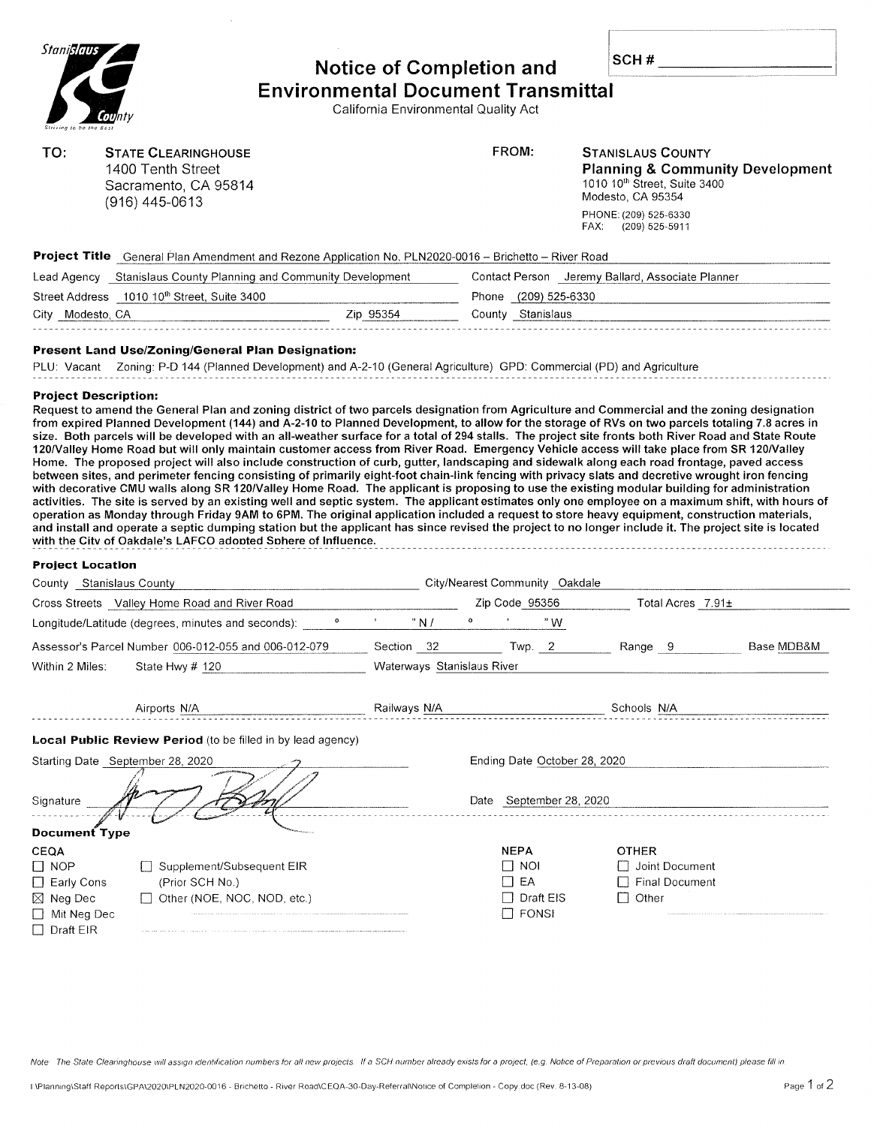| Stani <mark>slaus</mark> |
|--------------------------|
|                          |
|                          |
| <b>County</b>            |
| Striving to be the Bast  |

## Notice of Gompletion and Environmental Document Transmittal

#

Callfornia Environmental Quality Act

| TO:                                                     | <b>STATE CLEARINGHOUSE</b><br>1400 Tenth Street<br>Sacramento, CA 95814<br>$(916)$ 445-0613                                                                                                                                                                                                                                                                                                                                                                                                                                                                                                                                                                                                                                                                                                                                                                                                                                                                                  |         |                                                         |                                | FROM:                   | <b>STANISLAUS COUNTY</b><br><b>Planning &amp; Community Development</b><br>1010 10th Street, Suite 3400<br>Modesto, CA 95354 |            |
|---------------------------------------------------------|------------------------------------------------------------------------------------------------------------------------------------------------------------------------------------------------------------------------------------------------------------------------------------------------------------------------------------------------------------------------------------------------------------------------------------------------------------------------------------------------------------------------------------------------------------------------------------------------------------------------------------------------------------------------------------------------------------------------------------------------------------------------------------------------------------------------------------------------------------------------------------------------------------------------------------------------------------------------------|---------|---------------------------------------------------------|--------------------------------|-------------------------|------------------------------------------------------------------------------------------------------------------------------|------------|
|                                                         |                                                                                                                                                                                                                                                                                                                                                                                                                                                                                                                                                                                                                                                                                                                                                                                                                                                                                                                                                                              |         |                                                         |                                |                         | PHONE: (209) 525-6330<br>FAX:<br>(209) 525-5911                                                                              |            |
|                                                         | Project Title General Plan Amendment and Rezone Application No. PLN2020-0016 - Brichetto - River Road                                                                                                                                                                                                                                                                                                                                                                                                                                                                                                                                                                                                                                                                                                                                                                                                                                                                        |         |                                                         |                                |                         |                                                                                                                              |            |
|                                                         | Lead Agency Stanislaus County Planning and Community Development                                                                                                                                                                                                                                                                                                                                                                                                                                                                                                                                                                                                                                                                                                                                                                                                                                                                                                             |         |                                                         |                                |                         | Contact Person Jeremy Ballard, Associate Planner                                                                             |            |
| Street Address 1010 10 <sup>th</sup> Street, Suite 3400 |                                                                                                                                                                                                                                                                                                                                                                                                                                                                                                                                                                                                                                                                                                                                                                                                                                                                                                                                                                              |         | Phone (209) 525-6330                                    |                                |                         |                                                                                                                              |            |
| City Modesto, CA                                        |                                                                                                                                                                                                                                                                                                                                                                                                                                                                                                                                                                                                                                                                                                                                                                                                                                                                                                                                                                              |         | Zip 95354                                               |                                | County Stanislaus       |                                                                                                                              |            |
|                                                         | <b>Present Land Use/Zoning/General Plan Designation:</b>                                                                                                                                                                                                                                                                                                                                                                                                                                                                                                                                                                                                                                                                                                                                                                                                                                                                                                                     |         |                                                         |                                |                         |                                                                                                                              |            |
|                                                         | PLU: Vacant Zoning: P-D 144 (Planned Development) and A-2-10 (General Agriculture) GPD: Commercial (PD) and Agriculture                                                                                                                                                                                                                                                                                                                                                                                                                                                                                                                                                                                                                                                                                                                                                                                                                                                      |         |                                                         |                                |                         |                                                                                                                              |            |
|                                                         | Home. The proposed project will also include construction of curb, gutter, landscaping and sidewalk along each road frontage, paved access<br>between sites, and perimeter fencing consisting of primarily eight-foot chain-link fencing with privacy slats and decretive wrought iron fencing<br>with decorative CMU walls along SR 120/Valley Home Road. The applicant is proposing to use the existing modular building for administration<br>activities. The site is served by an existing well and septic system. The applicant estimates only one employee on a maximum shift, with hours of<br>operation as Monday through Friday 9AM to 6PM. The original application included a request to store heavy equipment, construction materials,<br>and install and operate a septic dumping station but the applicant has since revised the project to no longer include it. The project site is located<br>with the City of Oakdale's LAFCO adopted Sphere of Influence. |         |                                                         |                                |                         |                                                                                                                              |            |
| <b>Project Location</b>                                 |                                                                                                                                                                                                                                                                                                                                                                                                                                                                                                                                                                                                                                                                                                                                                                                                                                                                                                                                                                              |         |                                                         |                                |                         |                                                                                                                              |            |
| County Stanislaus County                                |                                                                                                                                                                                                                                                                                                                                                                                                                                                                                                                                                                                                                                                                                                                                                                                                                                                                                                                                                                              |         |                                                         | City/Nearest Community Oakdale | Zip Code 95356          |                                                                                                                              |            |
|                                                         | Cross Streets Valley Home Road and River Road<br>Longitude/Latitude (degrees, minutes and seconds):                                                                                                                                                                                                                                                                                                                                                                                                                                                                                                                                                                                                                                                                                                                                                                                                                                                                          | $\circ$ | $\mathbf{D}^{\text{max}}$ and $\mathbf{D}^{\text{max}}$ | "N/                            | "W                      | Total Acres 7.91±                                                                                                            |            |
|                                                         | Assessor's Parcel Number 006-012-055 and 006-012-079                                                                                                                                                                                                                                                                                                                                                                                                                                                                                                                                                                                                                                                                                                                                                                                                                                                                                                                         |         |                                                         |                                |                         |                                                                                                                              |            |
|                                                         |                                                                                                                                                                                                                                                                                                                                                                                                                                                                                                                                                                                                                                                                                                                                                                                                                                                                                                                                                                              |         |                                                         |                                |                         |                                                                                                                              |            |
|                                                         |                                                                                                                                                                                                                                                                                                                                                                                                                                                                                                                                                                                                                                                                                                                                                                                                                                                                                                                                                                              |         |                                                         | Section 32 Twp. 2              |                         | Range 9                                                                                                                      | Base MDB&M |
| Within 2 Miles:                                         | State Hwy $#$ 120                                                                                                                                                                                                                                                                                                                                                                                                                                                                                                                                                                                                                                                                                                                                                                                                                                                                                                                                                            |         |                                                         | Waterways Stanislaus River     |                         |                                                                                                                              |            |
|                                                         | Airports N/A                                                                                                                                                                                                                                                                                                                                                                                                                                                                                                                                                                                                                                                                                                                                                                                                                                                                                                                                                                 |         | Railways N/A                                            |                                |                         | Schools N/A                                                                                                                  |            |
|                                                         |                                                                                                                                                                                                                                                                                                                                                                                                                                                                                                                                                                                                                                                                                                                                                                                                                                                                                                                                                                              |         |                                                         |                                |                         |                                                                                                                              |            |
|                                                         | Local Public Review Period (to be filled in by lead agency)                                                                                                                                                                                                                                                                                                                                                                                                                                                                                                                                                                                                                                                                                                                                                                                                                                                                                                                  |         |                                                         |                                |                         |                                                                                                                              |            |
|                                                         | Starting Date September 28, 2020                                                                                                                                                                                                                                                                                                                                                                                                                                                                                                                                                                                                                                                                                                                                                                                                                                                                                                                                             |         |                                                         |                                |                         | Ending Date October 28, 2020                                                                                                 |            |
| Signature                                               |                                                                                                                                                                                                                                                                                                                                                                                                                                                                                                                                                                                                                                                                                                                                                                                                                                                                                                                                                                              |         |                                                         |                                | Date September 28, 2020 |                                                                                                                              |            |
| <b>Document Type</b>                                    |                                                                                                                                                                                                                                                                                                                                                                                                                                                                                                                                                                                                                                                                                                                                                                                                                                                                                                                                                                              |         |                                                         |                                |                         |                                                                                                                              |            |